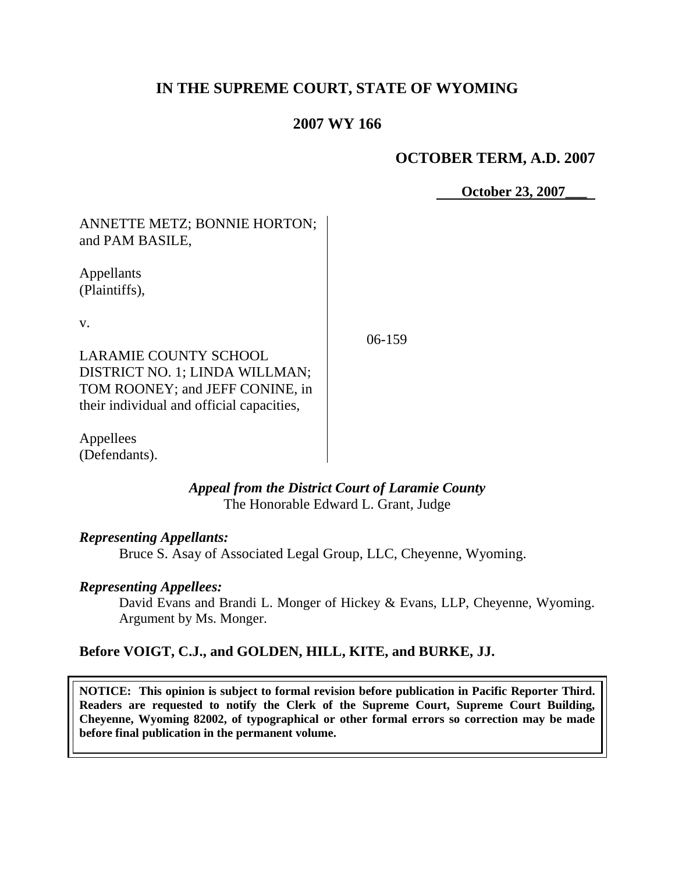# **IN THE SUPREME COURT, STATE OF WYOMING**

# **2007 WY 166**

## **OCTOBER TERM, A.D. 2007**

 **October 23, 2007\_\_\_**

# ANNETTE METZ; BONNIE HORTON; and PAM BASILE,

Appellants (Plaintiffs),

v.

06-159

LARAMIE COUNTY SCHOOL DISTRICT NO. 1; LINDA WILLMAN; TOM ROONEY; and JEFF CONINE, in their individual and official capacities,

Appellees (Defendants).

### *Appeal from the District Court of Laramie County* The Honorable Edward L. Grant, Judge

### *Representing Appellants:*

Bruce S. Asay of Associated Legal Group, LLC, Cheyenne, Wyoming.

### *Representing Appellees:*

David Evans and Brandi L. Monger of Hickey & Evans, LLP, Cheyenne, Wyoming. Argument by Ms. Monger.

## **Before VOIGT, C.J., and GOLDEN, HILL, KITE, and BURKE, JJ.**

**NOTICE: This opinion is subject to formal revision before publication in Pacific Reporter Third. Readers are requested to notify the Clerk of the Supreme Court, Supreme Court Building, Cheyenne, Wyoming 82002, of typographical or other formal errors so correction may be made before final publication in the permanent volume.**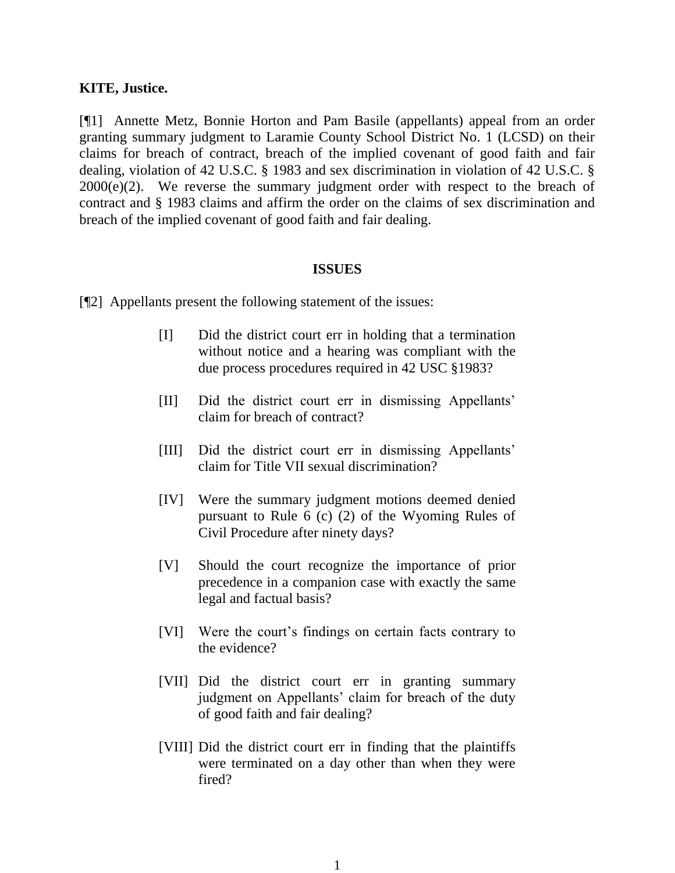#### **KITE, Justice.**

[¶1] Annette Metz, Bonnie Horton and Pam Basile (appellants) appeal from an order granting summary judgment to Laramie County School District No. 1 (LCSD) on their claims for breach of contract, breach of the implied covenant of good faith and fair dealing, violation of 42 U.S.C. § 1983 and sex discrimination in violation of 42 U.S.C. §  $2000(e)(2)$ . We reverse the summary judgment order with respect to the breach of contract and § 1983 claims and affirm the order on the claims of sex discrimination and breach of the implied covenant of good faith and fair dealing.

#### **ISSUES**

[¶2] Appellants present the following statement of the issues:

- [I] Did the district court err in holding that a termination without notice and a hearing was compliant with the due process procedures required in 42 USC §1983?
- [II] Did the district court err in dismissing Appellants' claim for breach of contract?
- [III] Did the district court err in dismissing Appellants' claim for Title VII sexual discrimination?
- [IV] Were the summary judgment motions deemed denied pursuant to Rule 6 (c) (2) of the Wyoming Rules of Civil Procedure after ninety days?
- [V] Should the court recognize the importance of prior precedence in a companion case with exactly the same legal and factual basis?
- [VI] Were the court's findings on certain facts contrary to the evidence?
- [VII] Did the district court err in granting summary judgment on Appellants' claim for breach of the duty of good faith and fair dealing?
- [VIII] Did the district court err in finding that the plaintiffs were terminated on a day other than when they were fired?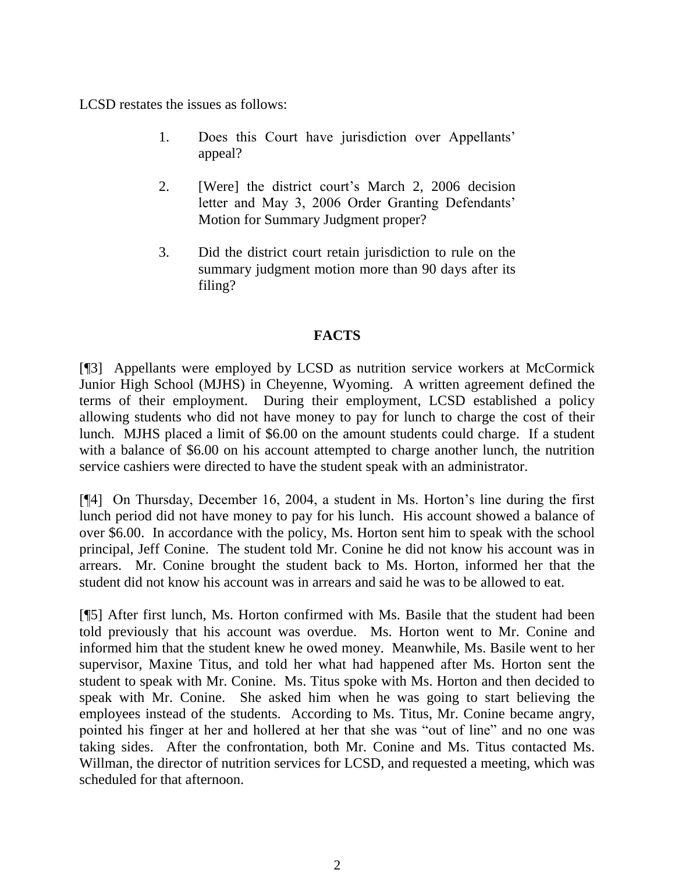LCSD restates the issues as follows:

- 1. Does this Court have jurisdiction over Appellants' appeal?
- 2. [Were] the district court's March 2, 2006 decision letter and May 3, 2006 Order Granting Defendants' Motion for Summary Judgment proper?
- 3. Did the district court retain jurisdiction to rule on the summary judgment motion more than 90 days after its filing?

### **FACTS**

[¶3] Appellants were employed by LCSD as nutrition service workers at McCormick Junior High School (MJHS) in Cheyenne, Wyoming. A written agreement defined the terms of their employment. During their employment, LCSD established a policy allowing students who did not have money to pay for lunch to charge the cost of their lunch. MJHS placed a limit of \$6.00 on the amount students could charge. If a student with a balance of \$6.00 on his account attempted to charge another lunch, the nutrition service cashiers were directed to have the student speak with an administrator.

[¶4] On Thursday, December 16, 2004, a student in Ms. Horton's line during the first lunch period did not have money to pay for his lunch. His account showed a balance of over \$6.00. In accordance with the policy, Ms. Horton sent him to speak with the school principal, Jeff Conine. The student told Mr. Conine he did not know his account was in arrears. Mr. Conine brought the student back to Ms. Horton, informed her that the student did not know his account was in arrears and said he was to be allowed to eat.

[¶5] After first lunch, Ms. Horton confirmed with Ms. Basile that the student had been told previously that his account was overdue. Ms. Horton went to Mr. Conine and informed him that the student knew he owed money. Meanwhile, Ms. Basile went to her supervisor, Maxine Titus, and told her what had happened after Ms. Horton sent the student to speak with Mr. Conine. Ms. Titus spoke with Ms. Horton and then decided to speak with Mr. Conine. She asked him when he was going to start believing the employees instead of the students. According to Ms. Titus, Mr. Conine became angry, pointed his finger at her and hollered at her that she was "out of line" and no one was taking sides. After the confrontation, both Mr. Conine and Ms. Titus contacted Ms. Willman, the director of nutrition services for LCSD, and requested a meeting, which was scheduled for that afternoon.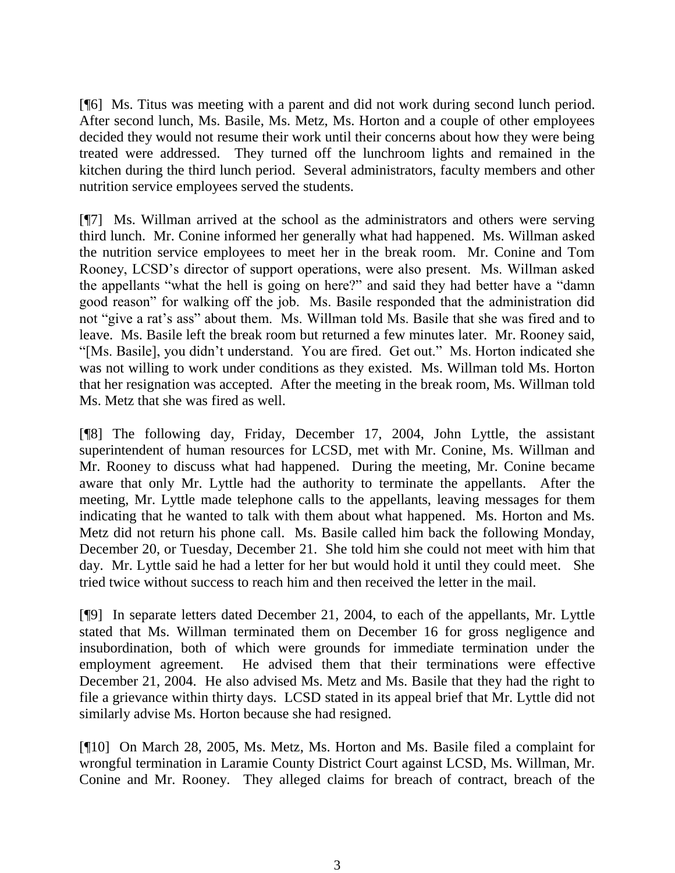[¶6] Ms. Titus was meeting with a parent and did not work during second lunch period. After second lunch, Ms. Basile, Ms. Metz, Ms. Horton and a couple of other employees decided they would not resume their work until their concerns about how they were being treated were addressed. They turned off the lunchroom lights and remained in the kitchen during the third lunch period. Several administrators, faculty members and other nutrition service employees served the students.

[¶7] Ms. Willman arrived at the school as the administrators and others were serving third lunch. Mr. Conine informed her generally what had happened. Ms. Willman asked the nutrition service employees to meet her in the break room. Mr. Conine and Tom Rooney, LCSD's director of support operations, were also present. Ms. Willman asked the appellants "what the hell is going on here?" and said they had better have a "damn good reason" for walking off the job. Ms. Basile responded that the administration did not "give a rat's ass" about them. Ms. Willman told Ms. Basile that she was fired and to leave. Ms. Basile left the break room but returned a few minutes later. Mr. Rooney said, "[Ms. Basile], you didn't understand. You are fired. Get out." Ms. Horton indicated she was not willing to work under conditions as they existed. Ms. Willman told Ms. Horton that her resignation was accepted. After the meeting in the break room, Ms. Willman told Ms. Metz that she was fired as well.

[¶8] The following day, Friday, December 17, 2004, John Lyttle, the assistant superintendent of human resources for LCSD, met with Mr. Conine, Ms. Willman and Mr. Rooney to discuss what had happened. During the meeting, Mr. Conine became aware that only Mr. Lyttle had the authority to terminate the appellants. After the meeting, Mr. Lyttle made telephone calls to the appellants, leaving messages for them indicating that he wanted to talk with them about what happened. Ms. Horton and Ms. Metz did not return his phone call. Ms. Basile called him back the following Monday, December 20, or Tuesday, December 21. She told him she could not meet with him that day. Mr. Lyttle said he had a letter for her but would hold it until they could meet. She tried twice without success to reach him and then received the letter in the mail.

[¶9] In separate letters dated December 21, 2004, to each of the appellants, Mr. Lyttle stated that Ms. Willman terminated them on December 16 for gross negligence and insubordination, both of which were grounds for immediate termination under the employment agreement. He advised them that their terminations were effective December 21, 2004. He also advised Ms. Metz and Ms. Basile that they had the right to file a grievance within thirty days. LCSD stated in its appeal brief that Mr. Lyttle did not similarly advise Ms. Horton because she had resigned.

[¶10] On March 28, 2005, Ms. Metz, Ms. Horton and Ms. Basile filed a complaint for wrongful termination in Laramie County District Court against LCSD, Ms. Willman, Mr. Conine and Mr. Rooney. They alleged claims for breach of contract, breach of the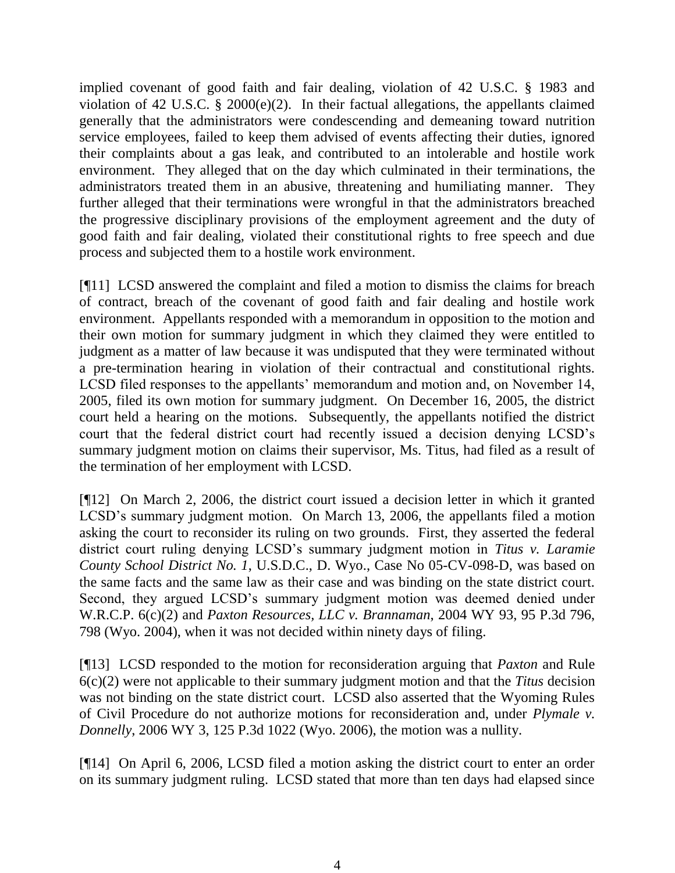implied covenant of good faith and fair dealing, violation of 42 U.S.C. § 1983 and violation of 42 U.S.C. § 2000(e)(2). In their factual allegations, the appellants claimed generally that the administrators were condescending and demeaning toward nutrition service employees, failed to keep them advised of events affecting their duties, ignored their complaints about a gas leak, and contributed to an intolerable and hostile work environment. They alleged that on the day which culminated in their terminations, the administrators treated them in an abusive, threatening and humiliating manner. They further alleged that their terminations were wrongful in that the administrators breached the progressive disciplinary provisions of the employment agreement and the duty of good faith and fair dealing, violated their constitutional rights to free speech and due process and subjected them to a hostile work environment.

[¶11] LCSD answered the complaint and filed a motion to dismiss the claims for breach of contract, breach of the covenant of good faith and fair dealing and hostile work environment. Appellants responded with a memorandum in opposition to the motion and their own motion for summary judgment in which they claimed they were entitled to judgment as a matter of law because it was undisputed that they were terminated without a pre-termination hearing in violation of their contractual and constitutional rights. LCSD filed responses to the appellants' memorandum and motion and, on November 14, 2005, filed its own motion for summary judgment. On December 16, 2005, the district court held a hearing on the motions. Subsequently, the appellants notified the district court that the federal district court had recently issued a decision denying LCSD's summary judgment motion on claims their supervisor, Ms. Titus, had filed as a result of the termination of her employment with LCSD.

[¶12] On March 2, 2006, the district court issued a decision letter in which it granted LCSD's summary judgment motion. On March 13, 2006, the appellants filed a motion asking the court to reconsider its ruling on two grounds. First, they asserted the federal district court ruling denying LCSD's summary judgment motion in *Titus v. Laramie County School District No. 1*, U.S.D.C., D. Wyo., Case No 05-CV-098-D, was based on the same facts and the same law as their case and was binding on the state district court. Second, they argued LCSD's summary judgment motion was deemed denied under W.R.C.P. 6(c)(2) and *Paxton Resources, LLC v. Brannaman*, 2004 WY 93, 95 P.3d 796, 798 (Wyo. 2004), when it was not decided within ninety days of filing.

[¶13] LCSD responded to the motion for reconsideration arguing that *Paxton* and Rule 6(c)(2) were not applicable to their summary judgment motion and that the *Titus* decision was not binding on the state district court. LCSD also asserted that the Wyoming Rules of Civil Procedure do not authorize motions for reconsideration and, under *Plymale v. Donnelly*, 2006 WY 3, 125 P.3d 1022 (Wyo. 2006), the motion was a nullity.

[¶14] On April 6, 2006, LCSD filed a motion asking the district court to enter an order on its summary judgment ruling. LCSD stated that more than ten days had elapsed since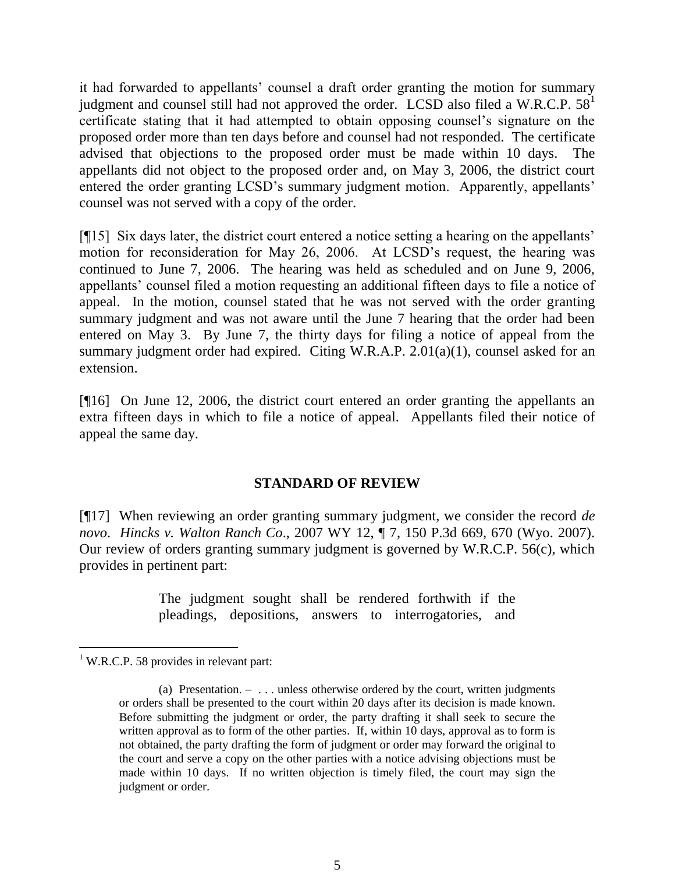it had forwarded to appellants' counsel a draft order granting the motion for summary judgment and counsel still had not approved the order. LCSD also filed a W.R.C.P.  $58<sup>1</sup>$ certificate stating that it had attempted to obtain opposing counsel's signature on the proposed order more than ten days before and counsel had not responded. The certificate advised that objections to the proposed order must be made within 10 days. The appellants did not object to the proposed order and, on May 3, 2006, the district court entered the order granting LCSD's summary judgment motion. Apparently, appellants' counsel was not served with a copy of the order.

[¶15] Six days later, the district court entered a notice setting a hearing on the appellants' motion for reconsideration for May 26, 2006. At LCSD's request, the hearing was continued to June 7, 2006. The hearing was held as scheduled and on June 9, 2006, appellants' counsel filed a motion requesting an additional fifteen days to file a notice of appeal. In the motion, counsel stated that he was not served with the order granting summary judgment and was not aware until the June 7 hearing that the order had been entered on May 3. By June 7, the thirty days for filing a notice of appeal from the summary judgment order had expired. Citing W.R.A.P. 2.01(a)(1), counsel asked for an extension.

[¶16] On June 12, 2006, the district court entered an order granting the appellants an extra fifteen days in which to file a notice of appeal. Appellants filed their notice of appeal the same day.

### **STANDARD OF REVIEW**

[¶17] When reviewing an order granting summary judgment, we consider the record *de novo*. *Hincks v. Walton Ranch Co*., 2007 WY 12, ¶ 7, 150 P.3d 669, 670 (Wyo. 2007). Our review of orders granting summary judgment is governed by W.R.C.P. 56(c), which provides in pertinent part:

> The judgment sought shall be rendered forthwith if the pleadings, depositions, answers to interrogatories, and

 $\overline{a}$ 

 $1$  W.R.C.P. 58 provides in relevant part:

<sup>(</sup>a) Presentation.  $- \dots$  unless otherwise ordered by the court, written judgments or orders shall be presented to the court within 20 days after its decision is made known. Before submitting the judgment or order, the party drafting it shall seek to secure the written approval as to form of the other parties. If, within 10 days, approval as to form is not obtained, the party drafting the form of judgment or order may forward the original to the court and serve a copy on the other parties with a notice advising objections must be made within 10 days. If no written objection is timely filed, the court may sign the judgment or order.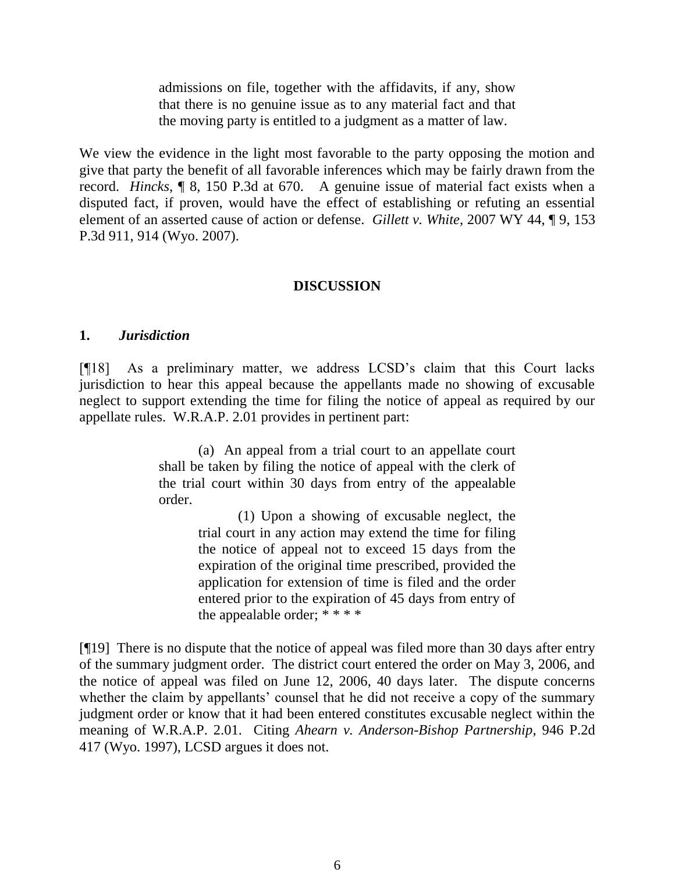admissions on file, together with the affidavits, if any, show that there is no genuine issue as to any material fact and that the moving party is entitled to a judgment as a matter of law.

We view the evidence in the light most favorable to the party opposing the motion and give that party the benefit of all favorable inferences which may be fairly drawn from the record. *Hincks*, ¶ 8, 150 P.3d at 670. A genuine issue of material fact exists when a disputed fact, if proven, would have the effect of establishing or refuting an essential element of an asserted cause of action or defense. *Gillett v. White*, 2007 WY 44, ¶ 9, 153 P.3d 911, 914 (Wyo. 2007).

### **DISCUSSION**

#### **1.** *Jurisdiction*

[¶18] As a preliminary matter, we address LCSD's claim that this Court lacks jurisdiction to hear this appeal because the appellants made no showing of excusable neglect to support extending the time for filing the notice of appeal as required by our appellate rules. W.R.A.P. 2.01 provides in pertinent part:

> (a) An appeal from a trial court to an appellate court shall be taken by filing the notice of appeal with the clerk of the trial court within 30 days from entry of the appealable order.

> > (1) Upon a showing of excusable neglect, the trial court in any action may extend the time for filing the notice of appeal not to exceed 15 days from the expiration of the original time prescribed, provided the application for extension of time is filed and the order entered prior to the expiration of 45 days from entry of the appealable order;  $****$

[¶19] There is no dispute that the notice of appeal was filed more than 30 days after entry of the summary judgment order. The district court entered the order on May 3, 2006, and the notice of appeal was filed on June 12, 2006, 40 days later. The dispute concerns whether the claim by appellants' counsel that he did not receive a copy of the summary judgment order or know that it had been entered constitutes excusable neglect within the meaning of W.R.A.P. 2.01. Citing *Ahearn v. Anderson-Bishop Partnership*, 946 P.2d 417 (Wyo. 1997), LCSD argues it does not.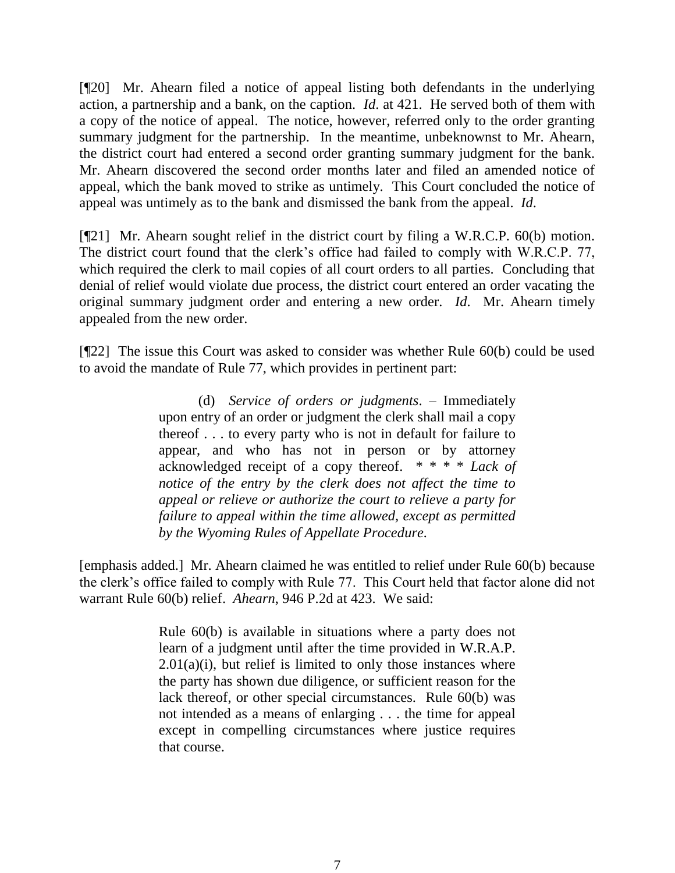[¶20] Mr. Ahearn filed a notice of appeal listing both defendants in the underlying action, a partnership and a bank, on the caption. *Id*. at 421. He served both of them with a copy of the notice of appeal. The notice, however, referred only to the order granting summary judgment for the partnership. In the meantime, unbeknownst to Mr. Ahearn, the district court had entered a second order granting summary judgment for the bank. Mr. Ahearn discovered the second order months later and filed an amended notice of appeal, which the bank moved to strike as untimely. This Court concluded the notice of appeal was untimely as to the bank and dismissed the bank from the appeal. *Id*.

[¶21] Mr. Ahearn sought relief in the district court by filing a W.R.C.P. 60(b) motion. The district court found that the clerk's office had failed to comply with W.R.C.P. 77, which required the clerk to mail copies of all court orders to all parties. Concluding that denial of relief would violate due process, the district court entered an order vacating the original summary judgment order and entering a new order. *Id*. Mr. Ahearn timely appealed from the new order.

[¶22] The issue this Court was asked to consider was whether Rule 60(b) could be used to avoid the mandate of Rule 77, which provides in pertinent part:

> (d) *Service of orders or judgments*. – Immediately upon entry of an order or judgment the clerk shall mail a copy thereof . . . to every party who is not in default for failure to appear, and who has not in person or by attorney acknowledged receipt of a copy thereof. \* \* \* \* *Lack of notice of the entry by the clerk does not affect the time to appeal or relieve or authorize the court to relieve a party for failure to appeal within the time allowed, except as permitted by the Wyoming Rules of Appellate Procedure.*

[emphasis added.] Mr. Ahearn claimed he was entitled to relief under Rule 60(b) because the clerk's office failed to comply with Rule 77. This Court held that factor alone did not warrant Rule 60(b) relief. *Ahearn*, 946 P.2d at 423. We said:

> Rule 60(b) is available in situations where a party does not learn of a judgment until after the time provided in W.R.A.P.  $2.01(a)(i)$ , but relief is limited to only those instances where the party has shown due diligence, or sufficient reason for the lack thereof, or other special circumstances. Rule 60(b) was not intended as a means of enlarging . . . the time for appeal except in compelling circumstances where justice requires that course.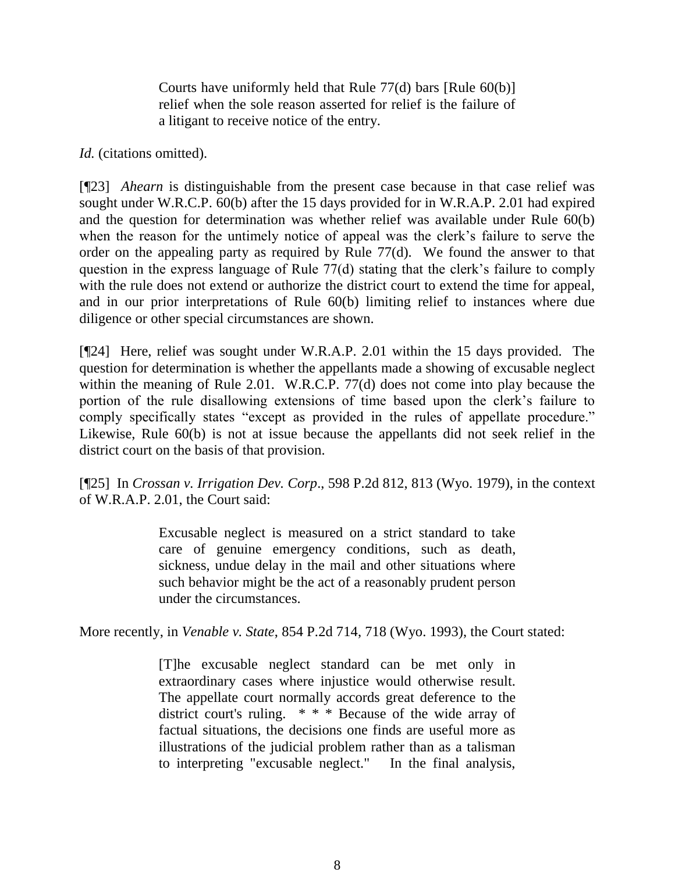Courts have uniformly held that Rule 77(d) bars [Rule 60(b)] relief when the sole reason asserted for relief is the failure of a litigant to receive notice of the entry.

*Id.* (citations omitted).

[¶23] *Ahearn* is distinguishable from the present case because in that case relief was sought under W.R.C.P. 60(b) after the 15 days provided for in W.R.A.P. 2.01 had expired and the question for determination was whether relief was available under Rule 60(b) when the reason for the untimely notice of appeal was the clerk's failure to serve the order on the appealing party as required by Rule 77(d). We found the answer to that question in the express language of Rule 77(d) stating that the clerk's failure to comply with the rule does not extend or authorize the district court to extend the time for appeal, and in our prior interpretations of Rule 60(b) limiting relief to instances where due diligence or other special circumstances are shown.

[¶24] Here, relief was sought under W.R.A.P. 2.01 within the 15 days provided. The question for determination is whether the appellants made a showing of excusable neglect within the meaning of Rule 2.01. W.R.C.P. 77(d) does not come into play because the portion of the rule disallowing extensions of time based upon the clerk's failure to comply specifically states "except as provided in the rules of appellate procedure." Likewise, Rule 60(b) is not at issue because the appellants did not seek relief in the district court on the basis of that provision.

[¶25] In *Crossan v. Irrigation Dev. Corp*., 598 P.2d 812, 813 (Wyo. 1979), in the context of W.R.A.P. 2.01, the Court said:

> Excusable neglect is measured on a strict standard to take care of genuine emergency conditions, such as death, sickness, undue delay in the mail and other situations where such behavior might be the act of a reasonably prudent person under the circumstances.

More recently, in *Venable v. State*, 854 P.2d 714, 718 (Wyo. 1993), the Court stated:

[T]he excusable neglect standard can be met only in extraordinary cases where injustice would otherwise result. The appellate court normally accords great deference to the district court's ruling. \* \* \* Because of the wide array of factual situations, the decisions one finds are useful more as illustrations of the judicial problem rather than as a talisman to interpreting "excusable neglect." In the final analysis,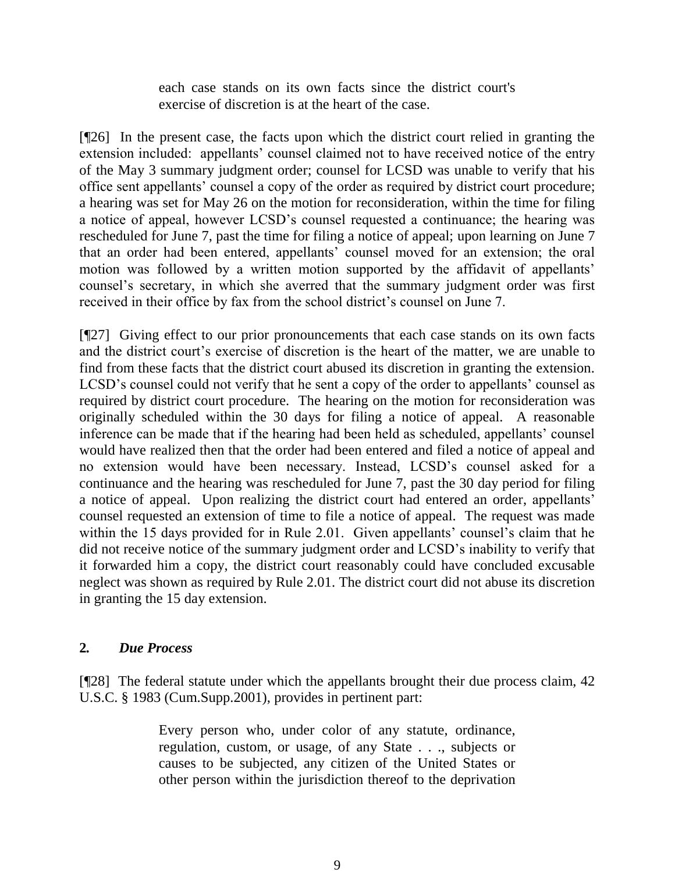each case stands on its own facts since the district court's exercise of discretion is at the heart of the case.

[¶26] In the present case, the facts upon which the district court relied in granting the extension included: appellants' counsel claimed not to have received notice of the entry of the May 3 summary judgment order; counsel for LCSD was unable to verify that his office sent appellants' counsel a copy of the order as required by district court procedure; a hearing was set for May 26 on the motion for reconsideration, within the time for filing a notice of appeal, however LCSD's counsel requested a continuance; the hearing was rescheduled for June 7, past the time for filing a notice of appeal; upon learning on June 7 that an order had been entered, appellants' counsel moved for an extension; the oral motion was followed by a written motion supported by the affidavit of appellants' counsel's secretary, in which she averred that the summary judgment order was first received in their office by fax from the school district's counsel on June 7.

[¶27] Giving effect to our prior pronouncements that each case stands on its own facts and the district court's exercise of discretion is the heart of the matter, we are unable to find from these facts that the district court abused its discretion in granting the extension. LCSD's counsel could not verify that he sent a copy of the order to appellants' counsel as required by district court procedure. The hearing on the motion for reconsideration was originally scheduled within the 30 days for filing a notice of appeal. A reasonable inference can be made that if the hearing had been held as scheduled, appellants' counsel would have realized then that the order had been entered and filed a notice of appeal and no extension would have been necessary. Instead, LCSD's counsel asked for a continuance and the hearing was rescheduled for June 7, past the 30 day period for filing a notice of appeal. Upon realizing the district court had entered an order, appellants' counsel requested an extension of time to file a notice of appeal. The request was made within the 15 days provided for in Rule 2.01. Given appellants' counsel's claim that he did not receive notice of the summary judgment order and LCSD's inability to verify that it forwarded him a copy, the district court reasonably could have concluded excusable neglect was shown as required by Rule 2.01. The district court did not abuse its discretion in granting the 15 day extension.

## **2***. Due Process*

[¶28] The federal statute under which the appellants brought their due process claim, 42 U.S.C. § 1983 (Cum.Supp.2001), provides in pertinent part:

> Every person who, under color of any statute, ordinance, regulation, custom, or usage, of any State . . ., subjects or causes to be subjected, any citizen of the United States or other person within the jurisdiction thereof to the deprivation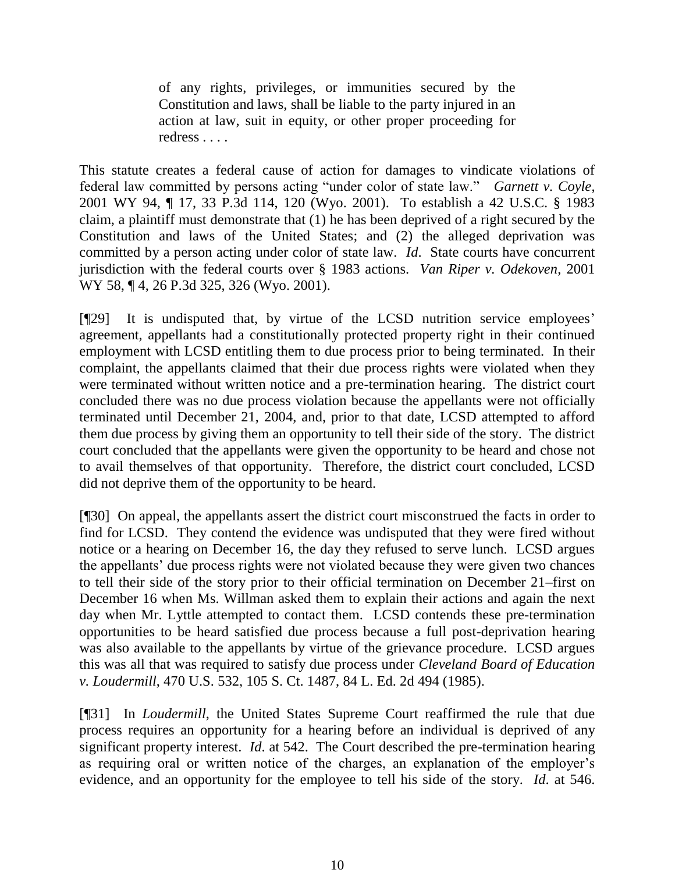of any rights, privileges, or immunities secured by the Constitution and laws, shall be liable to the party injured in an action at law, suit in equity, or other proper proceeding for redress . . . .

This statute creates a federal cause of action for damages to vindicate violations of federal law committed by persons acting "under color of state law." *Garnett v. Coyle*, 2001 WY 94, ¶ 17, 33 P.3d 114, 120 (Wyo. 2001). To establish a 42 U.S.C. § 1983 claim, a plaintiff must demonstrate that (1) he has been deprived of a right secured by the Constitution and laws of the United States; and (2) the alleged deprivation was committed by a person acting under color of state law. *Id*. State courts have concurrent jurisdiction with the federal courts over § 1983 actions. *Van Riper v. Odekoven*, 2001 WY 58, ¶ 4, 26 P.3d 325, 326 (Wyo. 2001).

[¶29] It is undisputed that, by virtue of the LCSD nutrition service employees' agreement, appellants had a constitutionally protected property right in their continued employment with LCSD entitling them to due process prior to being terminated. In their complaint, the appellants claimed that their due process rights were violated when they were terminated without written notice and a pre-termination hearing. The district court concluded there was no due process violation because the appellants were not officially terminated until December 21, 2004, and, prior to that date, LCSD attempted to afford them due process by giving them an opportunity to tell their side of the story. The district court concluded that the appellants were given the opportunity to be heard and chose not to avail themselves of that opportunity. Therefore, the district court concluded, LCSD did not deprive them of the opportunity to be heard.

[¶30] On appeal, the appellants assert the district court misconstrued the facts in order to find for LCSD. They contend the evidence was undisputed that they were fired without notice or a hearing on December 16, the day they refused to serve lunch. LCSD argues the appellants' due process rights were not violated because they were given two chances to tell their side of the story prior to their official termination on December 21–first on December 16 when Ms. Willman asked them to explain their actions and again the next day when Mr. Lyttle attempted to contact them. LCSD contends these pre-termination opportunities to be heard satisfied due process because a full post-deprivation hearing was also available to the appellants by virtue of the grievance procedure. LCSD argues this was all that was required to satisfy due process under *Cleveland Board of Education v. Loudermill*, 470 U.S. 532, 105 S. Ct. 1487, 84 L. Ed. 2d 494 (1985).

[¶31] In *Loudermill*, the United States Supreme Court reaffirmed the rule that due process requires an opportunity for a hearing before an individual is deprived of any significant property interest. *Id*. at 542. The Court described the pre-termination hearing as requiring oral or written notice of the charges, an explanation of the employer's evidence, and an opportunity for the employee to tell his side of the story. *Id*. at 546.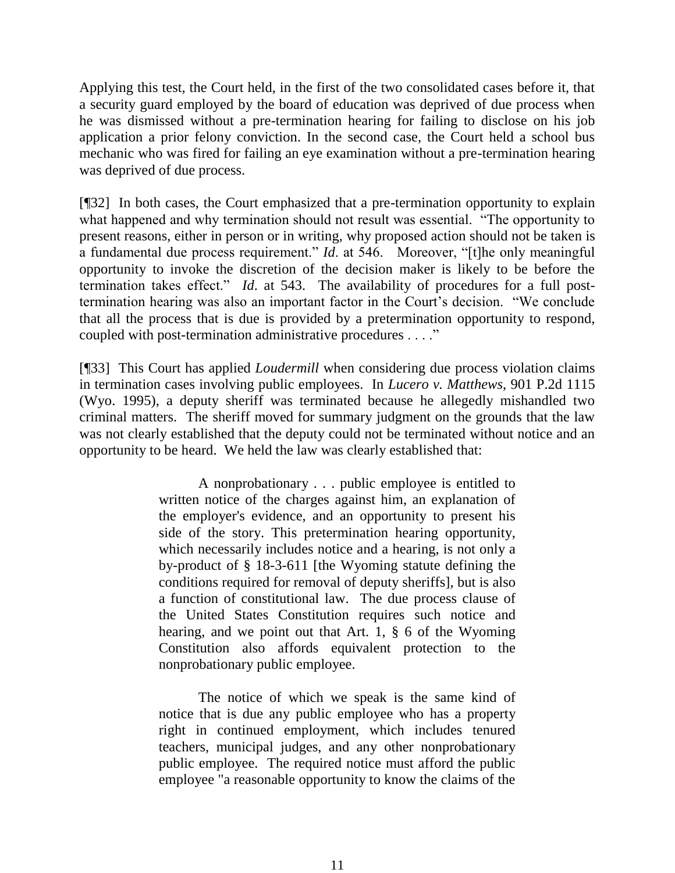Applying this test, the Court held, in the first of the two consolidated cases before it, that a security guard employed by the board of education was deprived of due process when he was dismissed without a pre-termination hearing for failing to disclose on his job application a prior felony conviction. In the second case, the Court held a school bus mechanic who was fired for failing an eye examination without a pre-termination hearing was deprived of due process.

[¶32] In both cases, the Court emphasized that a pre-termination opportunity to explain what happened and why termination should not result was essential. "The opportunity to present reasons, either in person or in writing, why proposed action should not be taken is a fundamental due process requirement." *Id*. at 546. Moreover, "[t]he only meaningful opportunity to invoke the discretion of the decision maker is likely to be before the termination takes effect." *Id*. at 543. The availability of procedures for a full posttermination hearing was also an important factor in the Court's decision. "We conclude that all the process that is due is provided by a pretermination opportunity to respond, coupled with post-termination administrative procedures . . . ."

[¶33] This Court has applied *Loudermill* when considering due process violation claims in termination cases involving public employees. In *Lucero v. Matthews*, 901 P.2d 1115 (Wyo. 1995), a deputy sheriff was terminated because he allegedly mishandled two criminal matters. The sheriff moved for summary judgment on the grounds that the law was not clearly established that the deputy could not be terminated without notice and an opportunity to be heard. We held the law was clearly established that:

> A nonprobationary . . . public employee is entitled to written notice of the charges against him, an explanation of the employer's evidence, and an opportunity to present his side of the story. This pretermination hearing opportunity, which necessarily includes notice and a hearing, is not only a by-product of § 18-3-611 [the Wyoming statute defining the conditions required for removal of deputy sheriffs], but is also a function of constitutional law. The due process clause of the United States Constitution requires such notice and hearing, and we point out that Art. 1, § 6 of the Wyoming Constitution also affords equivalent protection to the nonprobationary public employee.

> The notice of which we speak is the same kind of notice that is due any public employee who has a property right in continued employment, which includes tenured teachers, municipal judges, and any other nonprobationary public employee. The required notice must afford the public employee "a reasonable opportunity to know the claims of the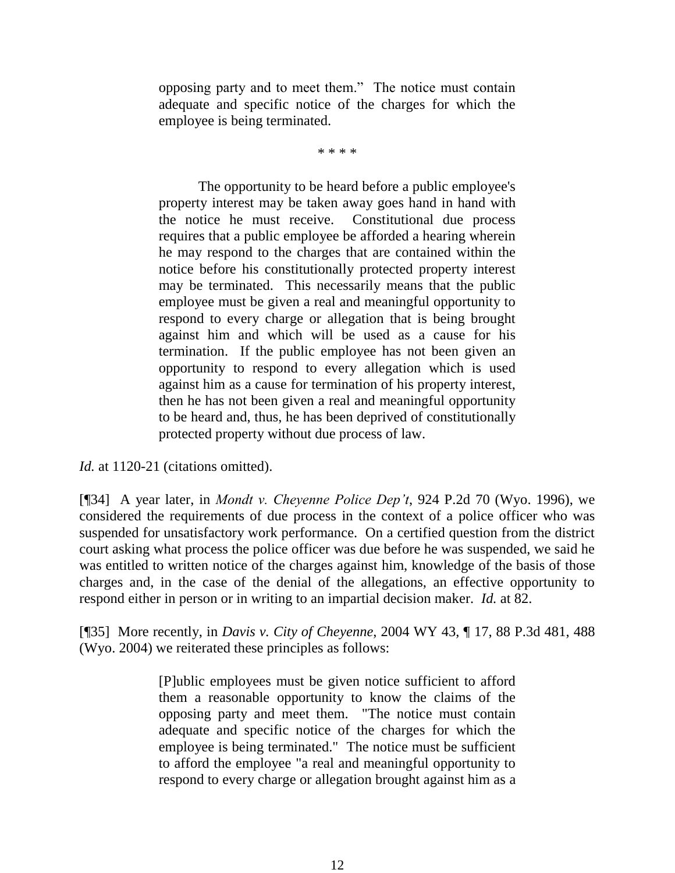opposing party and to meet them." The notice must contain adequate and specific notice of the charges for which the employee is being terminated.

\* \* \* \*

The opportunity to be heard before a public employee's property interest may be taken away goes hand in hand with the notice he must receive. Constitutional due process requires that a public employee be afforded a hearing wherein he may respond to the charges that are contained within the notice before his constitutionally protected property interest may be terminated. This necessarily means that the public employee must be given a real and meaningful opportunity to respond to every charge or allegation that is being brought against him and which will be used as a cause for his termination. If the public employee has not been given an opportunity to respond to every allegation which is used against him as a cause for termination of his property interest, then he has not been given a real and meaningful opportunity to be heard and, thus, he has been deprived of constitutionally protected property without due process of law.

*Id.* at 1120-21 (citations omitted).

[¶34] A year later, in *Mondt v. Cheyenne Police Dep't*, 924 P.2d 70 (Wyo. 1996), we considered the requirements of due process in the context of a police officer who was suspended for unsatisfactory work performance. On a certified question from the district court asking what process the police officer was due before he was suspended, we said he was entitled to written notice of the charges against him, knowledge of the basis of those charges and, in the case of the denial of the allegations, an effective opportunity to respond either in person or in writing to an impartial decision maker. *Id.* at 82.

[¶35] More recently, in *Davis v. City of Cheyenne*, 2004 WY 43, ¶ 17, 88 P.3d 481, 488 (Wyo. 2004) we reiterated these principles as follows:

> [P]ublic employees must be given notice sufficient to afford them a reasonable opportunity to know the claims of the opposing party and meet them. "The notice must contain adequate and specific notice of the charges for which the employee is being terminated." The notice must be sufficient to afford the employee "a real and meaningful opportunity to respond to every charge or allegation brought against him as a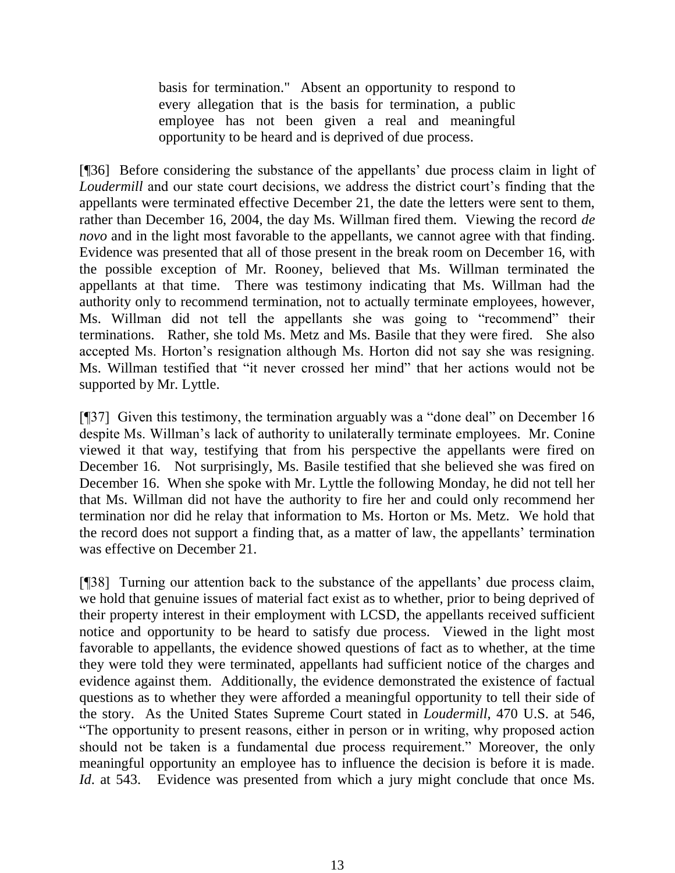basis for termination." Absent an opportunity to respond to every allegation that is the basis for termination, a public employee has not been given a real and meaningful opportunity to be heard and is deprived of due process.

[¶36] Before considering the substance of the appellants' due process claim in light of *Loudermill* and our state court decisions, we address the district court's finding that the appellants were terminated effective December 21, the date the letters were sent to them, rather than December 16, 2004, the day Ms. Willman fired them. Viewing the record *de novo* and in the light most favorable to the appellants, we cannot agree with that finding. Evidence was presented that all of those present in the break room on December 16, with the possible exception of Mr. Rooney, believed that Ms. Willman terminated the appellants at that time. There was testimony indicating that Ms. Willman had the authority only to recommend termination, not to actually terminate employees, however, Ms. Willman did not tell the appellants she was going to "recommend" their terminations. Rather, she told Ms. Metz and Ms. Basile that they were fired. She also accepted Ms. Horton's resignation although Ms. Horton did not say she was resigning. Ms. Willman testified that "it never crossed her mind" that her actions would not be supported by Mr. Lyttle.

[¶37] Given this testimony, the termination arguably was a "done deal" on December 16 despite Ms. Willman's lack of authority to unilaterally terminate employees. Mr. Conine viewed it that way, testifying that from his perspective the appellants were fired on December 16. Not surprisingly, Ms. Basile testified that she believed she was fired on December 16. When she spoke with Mr. Lyttle the following Monday, he did not tell her that Ms. Willman did not have the authority to fire her and could only recommend her termination nor did he relay that information to Ms. Horton or Ms. Metz. We hold that the record does not support a finding that, as a matter of law, the appellants' termination was effective on December 21.

[¶38] Turning our attention back to the substance of the appellants' due process claim, we hold that genuine issues of material fact exist as to whether, prior to being deprived of their property interest in their employment with LCSD, the appellants received sufficient notice and opportunity to be heard to satisfy due process. Viewed in the light most favorable to appellants, the evidence showed questions of fact as to whether, at the time they were told they were terminated, appellants had sufficient notice of the charges and evidence against them. Additionally, the evidence demonstrated the existence of factual questions as to whether they were afforded a meaningful opportunity to tell their side of the story. As the United States Supreme Court stated in *Loudermill*, 470 U.S. at 546, "The opportunity to present reasons, either in person or in writing, why proposed action should not be taken is a fundamental due process requirement." Moreover, the only meaningful opportunity an employee has to influence the decision is before it is made. *Id.* at 543. Evidence was presented from which a jury might conclude that once Ms.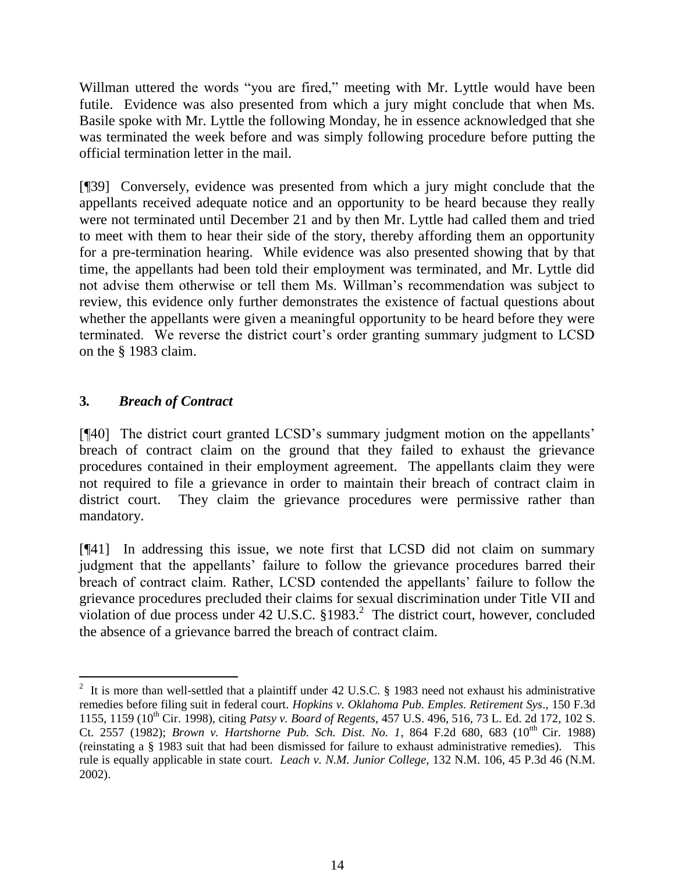Willman uttered the words "you are fired," meeting with Mr. Lyttle would have been futile. Evidence was also presented from which a jury might conclude that when Ms. Basile spoke with Mr. Lyttle the following Monday, he in essence acknowledged that she was terminated the week before and was simply following procedure before putting the official termination letter in the mail.

[¶39] Conversely, evidence was presented from which a jury might conclude that the appellants received adequate notice and an opportunity to be heard because they really were not terminated until December 21 and by then Mr. Lyttle had called them and tried to meet with them to hear their side of the story, thereby affording them an opportunity for a pre-termination hearing. While evidence was also presented showing that by that time, the appellants had been told their employment was terminated, and Mr. Lyttle did not advise them otherwise or tell them Ms. Willman's recommendation was subject to review, this evidence only further demonstrates the existence of factual questions about whether the appellants were given a meaningful opportunity to be heard before they were terminated. We reverse the district court's order granting summary judgment to LCSD on the § 1983 claim.

# **3***. Breach of Contract*

[¶40] The district court granted LCSD's summary judgment motion on the appellants' breach of contract claim on the ground that they failed to exhaust the grievance procedures contained in their employment agreement. The appellants claim they were not required to file a grievance in order to maintain their breach of contract claim in district court. They claim the grievance procedures were permissive rather than mandatory.

[¶41] In addressing this issue, we note first that LCSD did not claim on summary judgment that the appellants' failure to follow the grievance procedures barred their breach of contract claim. Rather, LCSD contended the appellants' failure to follow the grievance procedures precluded their claims for sexual discrimination under Title VII and violation of due process under  $42$  U.S.C.  $\S 1983$ .<sup>2</sup> The district court, however, concluded the absence of a grievance barred the breach of contract claim.

<sup>&</sup>lt;sup>2</sup> It is more than well-settled that a plaintiff under [42 U.S.C. § 1983](http://www.lexis.com/research/buttonTFLink?_m=e5f3e285fc03b8583c7a5ecd5620da4c&_xfercite=%3ccite%20cc%3d%22USA%22%3e%3c%21%5bCDATA%5b150%20F.3d%201155%5d%5d%3e%3c%2fcite%3e&_butType=4&_butStat=0&_butNum=71&_butInline=1&_butinfo=42%20U.S.C.%201983&_fmtstr=FULL&docnum=1&_startdoc=1&wchp=dGLbVzz-zSkAt&_md5=e09f406ec332d359dcb222631475d271) need not exhaust his administrative remedies before filing suit in federal court. *Hopkins v. Oklahoma Pub. Emples. Retirement Sys*., 150 F.3d 1155, 1159 (10th Cir. 1998), citing *Patsy v. Board of Regents*, 457 U.S. 496, 516, 73 L. Ed. 2d 172, 102 S. Ct. 2557 (1982); *Brown v. Hartshorne Pub. Sch. Dist. No. 1*, 864 F.2d 680, 683 (10<sup>th</sup> Cir. 1988) (reinstating a § 1983 suit that had been dismissed for failure to exhaust administrative remedies). This rule is equally applicable in state court. *Leach v. N.M. Junior College,* 132 N.M. 106, 45 P.3d 46 (N.M. 2002).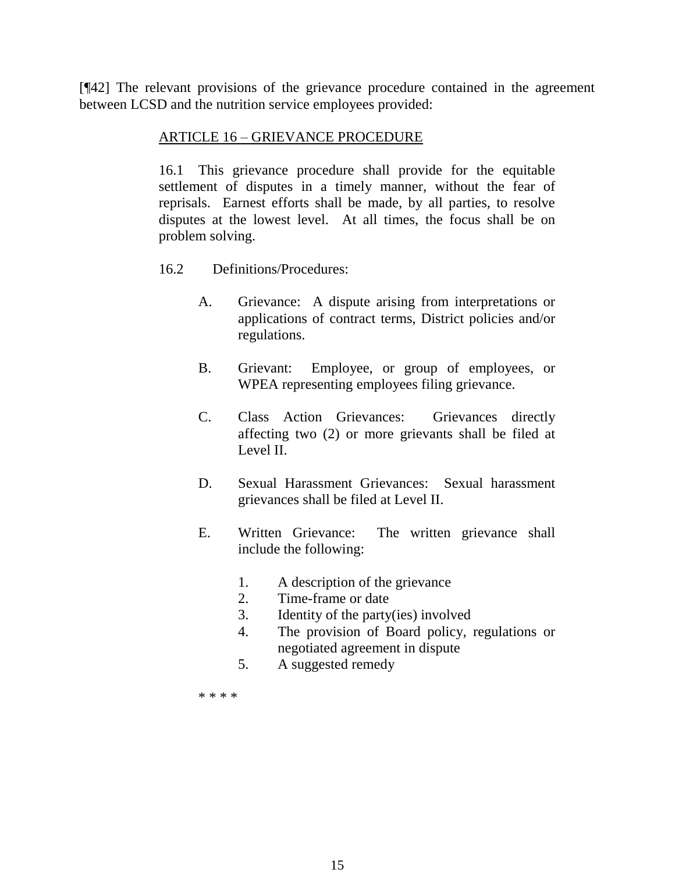[¶42] The relevant provisions of the grievance procedure contained in the agreement between LCSD and the nutrition service employees provided:

### ARTICLE 16 – GRIEVANCE PROCEDURE

16.1 This grievance procedure shall provide for the equitable settlement of disputes in a timely manner, without the fear of reprisals. Earnest efforts shall be made, by all parties, to resolve disputes at the lowest level. At all times, the focus shall be on problem solving.

- 16.2 Definitions/Procedures:
	- A. Grievance: A dispute arising from interpretations or applications of contract terms, District policies and/or regulations.
	- B. Grievant: Employee, or group of employees, or WPEA representing employees filing grievance.
	- C. Class Action Grievances: Grievances directly affecting two (2) or more grievants shall be filed at Level II.
	- D. Sexual Harassment Grievances: Sexual harassment grievances shall be filed at Level II.
	- E. Written Grievance: The written grievance shall include the following:
		- 1. A description of the grievance
		- 2. Time-frame or date
		- 3. Identity of the party(ies) involved
		- 4. The provision of Board policy, regulations or negotiated agreement in dispute
		- 5. A suggested remedy

\* \* \* \*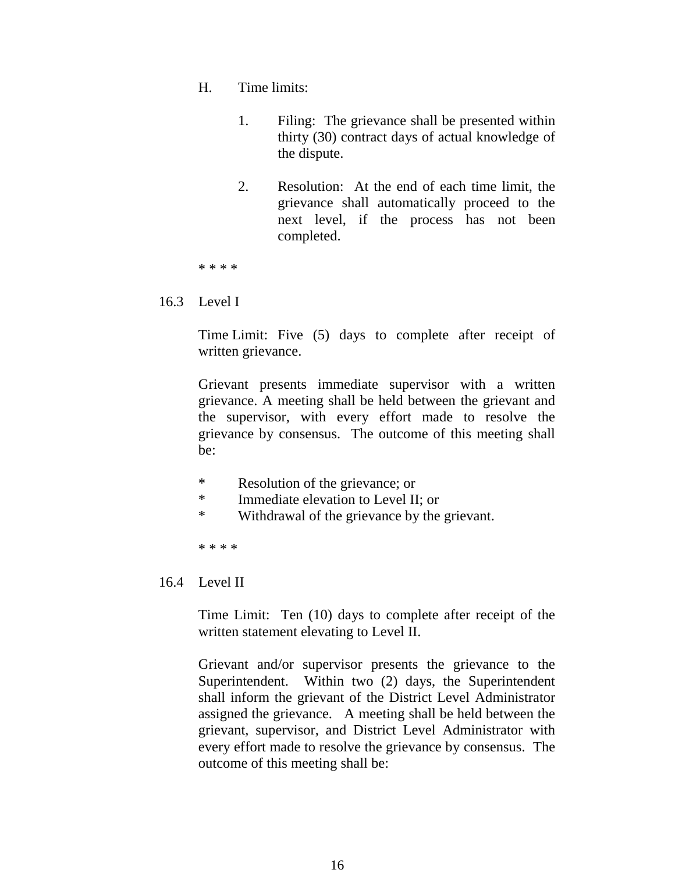- H. Time limits:
	- 1. Filing: The grievance shall be presented within thirty (30) contract days of actual knowledge of the dispute.
	- 2. Resolution: At the end of each time limit, the grievance shall automatically proceed to the next level, if the process has not been completed.

\* \* \* \*

### 16.3 Level I

Time Limit: Five (5) days to complete after receipt of written grievance.

Grievant presents immediate supervisor with a written grievance. A meeting shall be held between the grievant and the supervisor, with every effort made to resolve the grievance by consensus. The outcome of this meeting shall be:

- \* Resolution of the grievance; or
- \* Immediate elevation to Level II; or
- \* Withdrawal of the grievance by the grievant.

\* \* \* \*

16.4 Level II

Time Limit: Ten (10) days to complete after receipt of the written statement elevating to Level II.

Grievant and/or supervisor presents the grievance to the Superintendent. Within two (2) days, the Superintendent shall inform the grievant of the District Level Administrator assigned the grievance. A meeting shall be held between the grievant, supervisor, and District Level Administrator with every effort made to resolve the grievance by consensus. The outcome of this meeting shall be: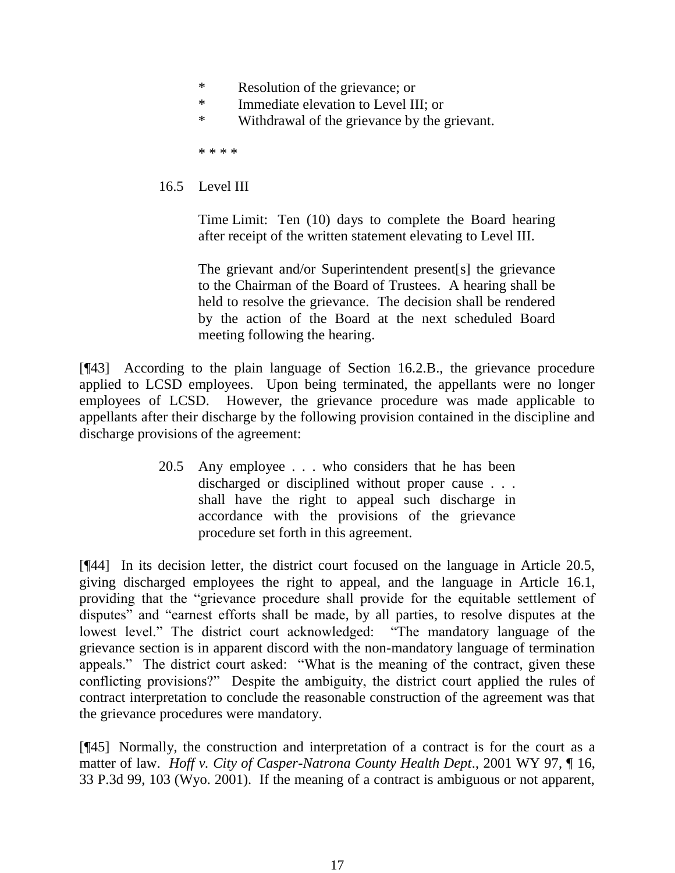- \* Resolution of the grievance; or
- \* Immediate elevation to Level III; or
- \* Withdrawal of the grievance by the grievant.

\* \* \* \*

## 16.5 Level III

Time Limit: Ten (10) days to complete the Board hearing after receipt of the written statement elevating to Level III.

The grievant and/or Superintendent present[s] the grievance to the Chairman of the Board of Trustees. A hearing shall be held to resolve the grievance. The decision shall be rendered by the action of the Board at the next scheduled Board meeting following the hearing.

[¶43] According to the plain language of Section 16.2.B., the grievance procedure applied to LCSD employees. Upon being terminated, the appellants were no longer employees of LCSD. However, the grievance procedure was made applicable to appellants after their discharge by the following provision contained in the discipline and discharge provisions of the agreement:

> 20.5 Any employee . . . who considers that he has been discharged or disciplined without proper cause . . . shall have the right to appeal such discharge in accordance with the provisions of the grievance procedure set forth in this agreement.

[¶44] In its decision letter, the district court focused on the language in Article 20.5, giving discharged employees the right to appeal, and the language in Article 16.1, providing that the "grievance procedure shall provide for the equitable settlement of disputes" and "earnest efforts shall be made, by all parties, to resolve disputes at the lowest level." The district court acknowledged: "The mandatory language of the grievance section is in apparent discord with the non-mandatory language of termination appeals." The district court asked: "What is the meaning of the contract, given these conflicting provisions?" Despite the ambiguity, the district court applied the rules of contract interpretation to conclude the reasonable construction of the agreement was that the grievance procedures were mandatory.

[¶45] Normally, the construction and interpretation of a contract is for the court as a matter of law. *Hoff v. City of Casper-Natrona County Health Dept*., 2001 WY 97, ¶ 16, 33 P.3d 99, 103 (Wyo. 2001). If the meaning of a contract is ambiguous or not apparent,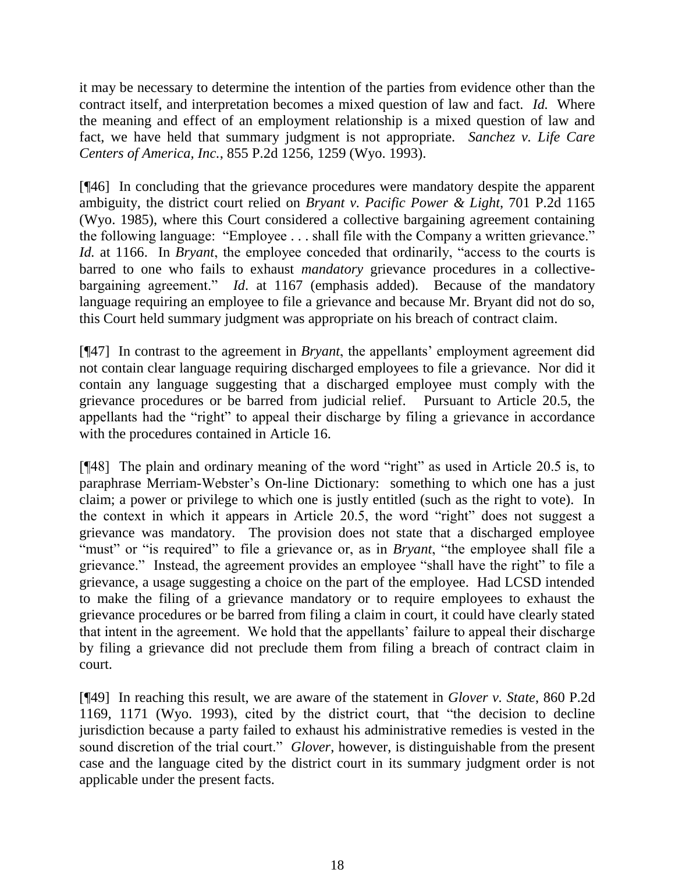it may be necessary to determine the intention of the parties from evidence other than the contract itself, and interpretation becomes a mixed question of law and fact. *Id.* Where the meaning and effect of an employment relationship is a mixed question of law and fact, we have held that summary judgment is not appropriate. *Sanchez v. Life Care Centers of America, Inc.*, 855 P.2d 1256, 1259 (Wyo. 1993).

[¶46] In concluding that the grievance procedures were mandatory despite the apparent ambiguity, the district court relied on *Bryant v. Pacific Power & Light*, 701 P.2d 1165 (Wyo. 1985), where this Court considered a collective bargaining agreement containing the following language: "Employee . . . shall file with the Company a written grievance." *Id.* at 1166. In *Bryant*, the employee conceded that ordinarily, "access to the courts is barred to one who fails to exhaust *mandatory* grievance procedures in a collectivebargaining agreement." *Id*. at 1167 (emphasis added). Because of the mandatory language requiring an employee to file a grievance and because Mr. Bryant did not do so, this Court held summary judgment was appropriate on his breach of contract claim.

[¶47] In contrast to the agreement in *Bryant*, the appellants' employment agreement did not contain clear language requiring discharged employees to file a grievance. Nor did it contain any language suggesting that a discharged employee must comply with the grievance procedures or be barred from judicial relief. Pursuant to Article 20.5, the appellants had the "right" to appeal their discharge by filing a grievance in accordance with the procedures contained in Article 16.

[¶48] The plain and ordinary meaning of the word "right" as used in Article 20.5 is, to paraphrase Merriam-Webster's On-line Dictionary: something to which one has a just claim; a power or privilege to which one is justly entitled (such as the right to vote). In the context in which it appears in Article 20.5, the word "right" does not suggest a grievance was mandatory. The provision does not state that a discharged employee "must" or "is required" to file a grievance or, as in *Bryant*, "the employee shall file a grievance." Instead, the agreement provides an employee "shall have the right" to file a grievance, a usage suggesting a choice on the part of the employee. Had LCSD intended to make the filing of a grievance mandatory or to require employees to exhaust the grievance procedures or be barred from filing a claim in court, it could have clearly stated that intent in the agreement. We hold that the appellants' failure to appeal their discharge by filing a grievance did not preclude them from filing a breach of contract claim in court.

[¶49] In reaching this result, we are aware of the statement in *Glover v. State*, 860 P.2d 1169, 1171 (Wyo. 1993), cited by the district court, that "the decision to decline jurisdiction because a party failed to exhaust his administrative remedies is vested in the sound discretion of the trial court." *Glover*, however, is distinguishable from the present case and the language cited by the district court in its summary judgment order is not applicable under the present facts.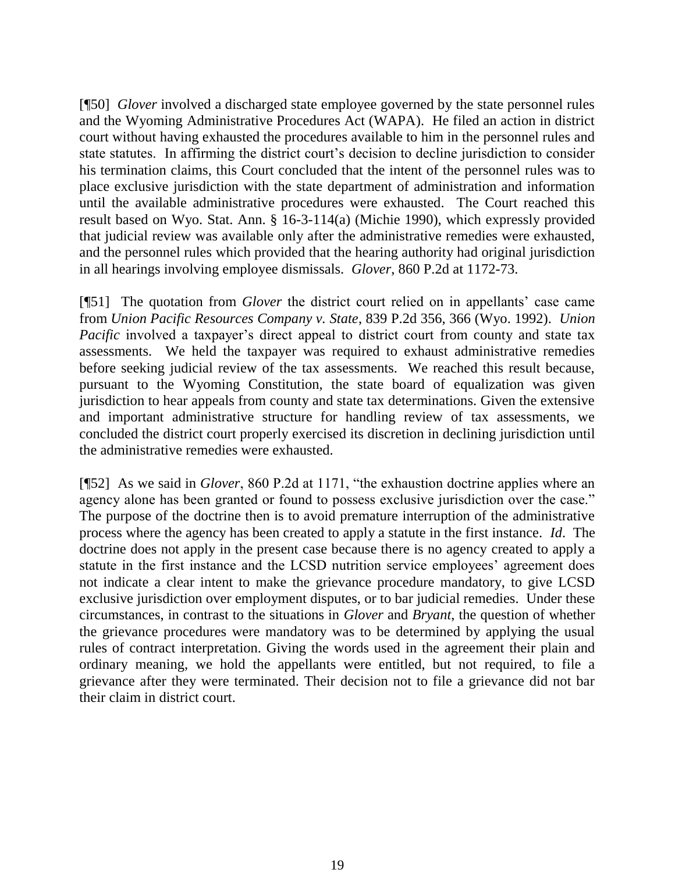[¶50] *Glover* involved a discharged state employee governed by the state personnel rules and the Wyoming Administrative Procedures Act (WAPA). He filed an action in district court without having exhausted the procedures available to him in the personnel rules and state statutes. In affirming the district court's decision to decline jurisdiction to consider his termination claims, this Court concluded that the intent of the personnel rules was to place exclusive jurisdiction with the state department of administration and information until the available administrative procedures were exhausted. The Court reached this result based on Wyo. Stat. Ann. § 16-3-114(a) (Michie 1990), which expressly provided that judicial review was available only after the administrative remedies were exhausted, and the personnel rules which provided that the hearing authority had original jurisdiction in all hearings involving employee dismissals. *Glover*, 860 P.2d at 1172-73.

[¶51] The quotation from *Glover* the district court relied on in appellants' case came from *Union Pacific Resources Company v. State*, 839 P.2d 356, 366 (Wyo. 1992). *Union Pacific* involved a taxpayer's direct appeal to district court from county and state tax assessments. We held the taxpayer was required to exhaust administrative remedies before seeking judicial review of the tax assessments. We reached this result because, pursuant to the Wyoming Constitution, the state board of equalization was given jurisdiction to hear appeals from county and state tax determinations. Given the extensive and important administrative structure for handling review of tax assessments, we concluded the district court properly exercised its discretion in declining jurisdiction until the administrative remedies were exhausted.

[¶52] As we said in *Glover*, 860 P.2d at 1171, "the exhaustion doctrine applies where an agency alone has been granted or found to possess exclusive jurisdiction over the case." The purpose of the doctrine then is to avoid premature interruption of the administrative process where the agency has been created to apply a statute in the first instance. *Id*. The doctrine does not apply in the present case because there is no agency created to apply a statute in the first instance and the LCSD nutrition service employees' agreement does not indicate a clear intent to make the grievance procedure mandatory, to give LCSD exclusive jurisdiction over employment disputes, or to bar judicial remedies. Under these circumstances, in contrast to the situations in *Glover* and *Bryant*, the question of whether the grievance procedures were mandatory was to be determined by applying the usual rules of contract interpretation. Giving the words used in the agreement their plain and ordinary meaning, we hold the appellants were entitled, but not required, to file a grievance after they were terminated. Their decision not to file a grievance did not bar their claim in district court.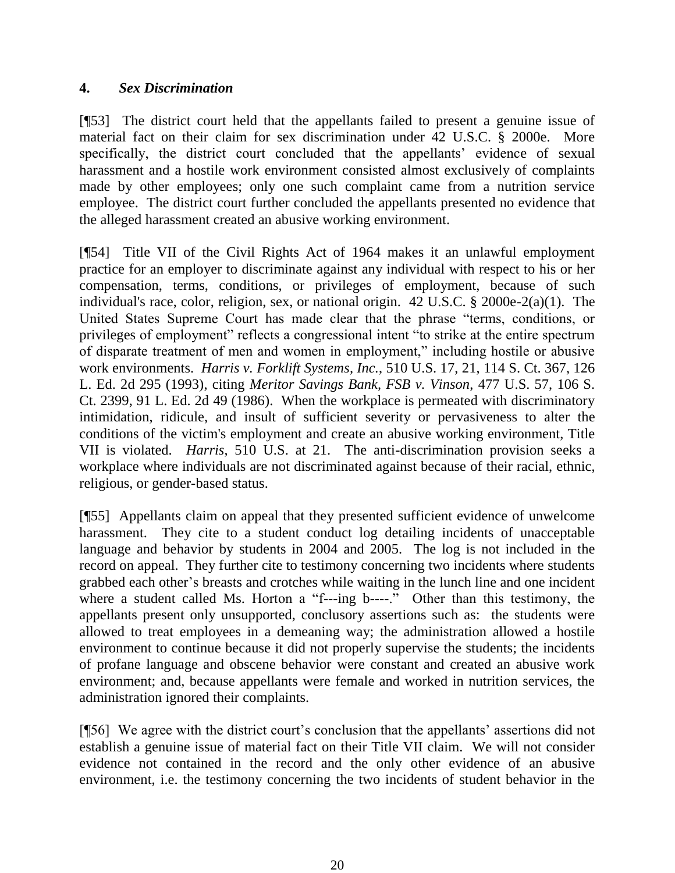## **4.** *Sex Discrimination*

[¶53] The district court held that the appellants failed to present a genuine issue of material fact on their claim for sex discrimination under 42 U.S.C. § 2000e. More specifically, the district court concluded that the appellants' evidence of sexual harassment and a hostile work environment consisted almost exclusively of complaints made by other employees; only one such complaint came from a nutrition service employee. The district court further concluded the appellants presented no evidence that the alleged harassment created an abusive working environment.

[¶54] Title VII of the Civil Rights Act of 1964 makes it an unlawful employment practice for an employer to discriminate against any individual with respect to his or her compensation, terms, conditions, or privileges of employment, because of such individual's race, color, religion, sex, or national origin. 42 U.S.C. § 2000e-2(a)(1). The United States Supreme Court has made clear that the phrase "terms, conditions, or privileges of employment" reflects a congressional intent "to strike at the entire spectrum of disparate treatment of men and women in employment," including hostile or abusive work environments. *Harris v. Forklift Systems, Inc.*, 510 U.S. 17, 21, 114 S. Ct. 367, 126 L. Ed. 2d 295 (1993), citing *Meritor Savings Bank, FSB v. Vinson*, 477 U.S. 57, 106 S. Ct. 2399, 91 L. Ed. 2d 49 (1986). When the workplace is permeated with discriminatory intimidation, ridicule, and insult of sufficient severity or pervasiveness to alter the conditions of the victim's employment and create an abusive working environment, Title VII is violated. *Harris*, 510 U.S. at 21. The anti-discrimination provision seeks a workplace where individuals are not discriminated against because of their racial, ethnic, religious, or gender-based status.

[¶55] Appellants claim on appeal that they presented sufficient evidence of unwelcome harassment. They cite to a student conduct log detailing incidents of unacceptable language and behavior by students in 2004 and 2005. The log is not included in the record on appeal. They further cite to testimony concerning two incidents where students grabbed each other's breasts and crotches while waiting in the lunch line and one incident where a student called Ms. Horton a "f---ing b----." Other than this testimony, the appellants present only unsupported, conclusory assertions such as: the students were allowed to treat employees in a demeaning way; the administration allowed a hostile environment to continue because it did not properly supervise the students; the incidents of profane language and obscene behavior were constant and created an abusive work environment; and, because appellants were female and worked in nutrition services, the administration ignored their complaints.

[¶56] We agree with the district court's conclusion that the appellants' assertions did not establish a genuine issue of material fact on their Title VII claim. We will not consider evidence not contained in the record and the only other evidence of an abusive environment, i.e. the testimony concerning the two incidents of student behavior in the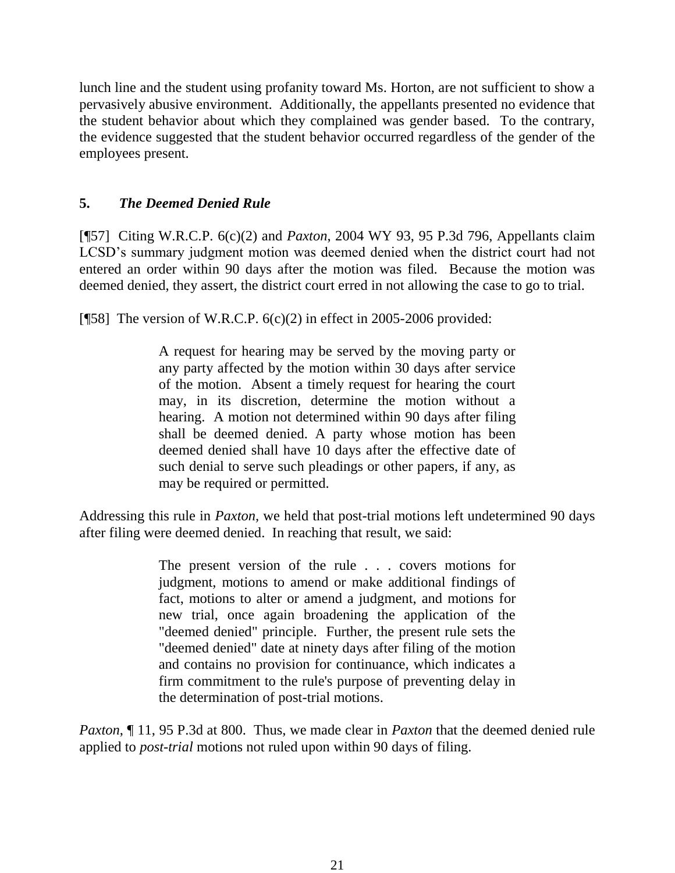lunch line and the student using profanity toward Ms. Horton, are not sufficient to show a pervasively abusive environment. Additionally, the appellants presented no evidence that the student behavior about which they complained was gender based. To the contrary, the evidence suggested that the student behavior occurred regardless of the gender of the employees present.

# **5.** *The Deemed Denied Rule*

[¶57] Citing W.R.C.P. 6(c)(2) and *Paxton*, 2004 WY 93, 95 P.3d 796, Appellants claim LCSD's summary judgment motion was deemed denied when the district court had not entered an order within 90 days after the motion was filed. Because the motion was deemed denied, they assert, the district court erred in not allowing the case to go to trial.

[ $[$ 58] The version of W.R.C.P. 6(c)(2) in effect in 2005-2006 provided:

A request for hearing may be served by the moving party or any party affected by the motion within 30 days after service of the motion. Absent a timely request for hearing the court may, in its discretion, determine the motion without a hearing. A motion not determined within 90 days after filing shall be deemed denied. A party whose motion has been deemed denied shall have 10 days after the effective date of such denial to serve such pleadings or other papers, if any, as may be required or permitted.

Addressing this rule in *Paxton,* we held that post-trial motions left undetermined 90 days after filing were deemed denied. In reaching that result, we said:

> The present version of the rule . . . covers motions for judgment, motions to amend or make additional findings of fact, motions to alter or amend a judgment, and motions for new trial, once again broadening the application of the "deemed denied" principle. Further, the present rule sets the "deemed denied" date at ninety days after filing of the motion and contains no provision for continuance, which indicates a firm commitment to the rule's purpose of preventing delay in the determination of post-trial motions.

*Paxton*, 11, 95 P.3d at 800. Thus, we made clear in *Paxton* that the deemed denied rule applied to *post-trial* motions not ruled upon within 90 days of filing.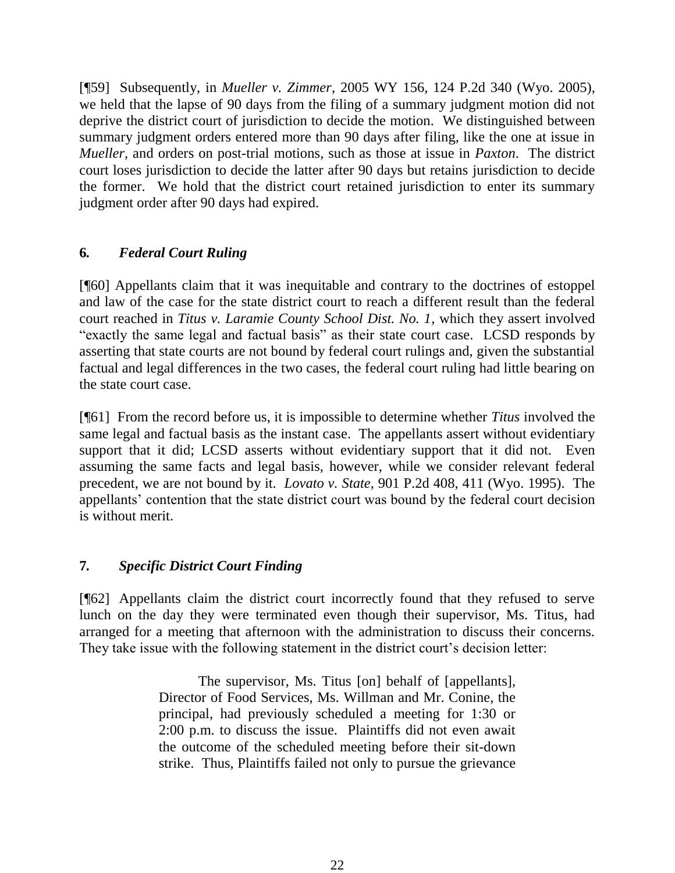[¶59] Subsequently, in *Mueller v. Zimmer*, 2005 WY 156, 124 P.2d 340 (Wyo. 2005), we held that the lapse of 90 days from the filing of a summary judgment motion did not deprive the district court of jurisdiction to decide the motion. We distinguished between summary judgment orders entered more than 90 days after filing, like the one at issue in *Mueller,* and orders on post-trial motions, such as those at issue in *Paxton*. The district court loses jurisdiction to decide the latter after 90 days but retains jurisdiction to decide the former. We hold that the district court retained jurisdiction to enter its summary judgment order after 90 days had expired.

# **6***. Federal Court Ruling*

[¶60] Appellants claim that it was inequitable and contrary to the doctrines of estoppel and law of the case for the state district court to reach a different result than the federal court reached in *Titus v. Laramie County School Dist. No. 1*, which they assert involved "exactly the same legal and factual basis" as their state court case. LCSD responds by asserting that state courts are not bound by federal court rulings and, given the substantial factual and legal differences in the two cases, the federal court ruling had little bearing on the state court case.

[¶61] From the record before us, it is impossible to determine whether *Titus* involved the same legal and factual basis as the instant case. The appellants assert without evidentiary support that it did; LCSD asserts without evidentiary support that it did not. Even assuming the same facts and legal basis, however, while we consider relevant federal precedent, we are not bound by it. *Lovato v. State*, 901 P.2d 408, 411 (Wyo. 1995). The appellants' contention that the state district court was bound by the federal court decision is without merit.

# **7***. Specific District Court Finding*

[¶62] Appellants claim the district court incorrectly found that they refused to serve lunch on the day they were terminated even though their supervisor, Ms. Titus, had arranged for a meeting that afternoon with the administration to discuss their concerns. They take issue with the following statement in the district court's decision letter:

> The supervisor, Ms. Titus [on] behalf of [appellants], Director of Food Services, Ms. Willman and Mr. Conine, the principal, had previously scheduled a meeting for 1:30 or 2:00 p.m. to discuss the issue. Plaintiffs did not even await the outcome of the scheduled meeting before their sit-down strike. Thus, Plaintiffs failed not only to pursue the grievance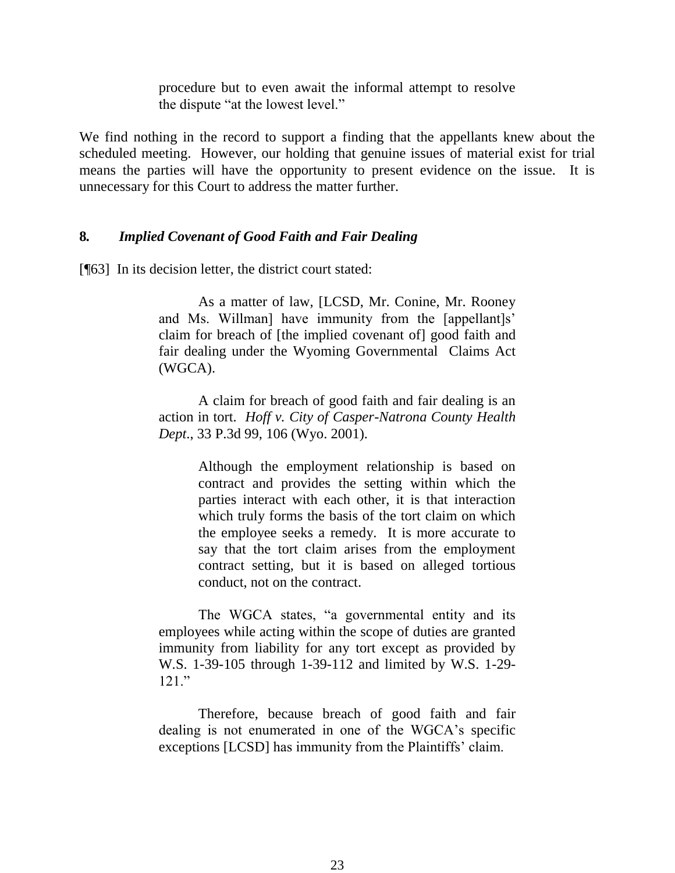procedure but to even await the informal attempt to resolve the dispute "at the lowest level."

We find nothing in the record to support a finding that the appellants knew about the scheduled meeting. However, our holding that genuine issues of material exist for trial means the parties will have the opportunity to present evidence on the issue. It is unnecessary for this Court to address the matter further.

### **8***. Implied Covenant of Good Faith and Fair Dealing*

[¶63] In its decision letter, the district court stated:

As a matter of law, [LCSD, Mr. Conine, Mr. Rooney and Ms. Willman] have immunity from the [appellant]s' claim for breach of [the implied covenant of] good faith and fair dealing under the Wyoming Governmental Claims Act (WGCA).

A claim for breach of good faith and fair dealing is an action in tort. *Hoff v. City of Casper-Natrona County Health Dept*., 33 P.3d 99, 106 (Wyo. 2001).

> Although the employment relationship is based on contract and provides the setting within which the parties interact with each other, it is that interaction which truly forms the basis of the tort claim on which the employee seeks a remedy. It is more accurate to say that the tort claim arises from the employment contract setting, but it is based on alleged tortious conduct, not on the contract.

The WGCA states, "a governmental entity and its employees while acting within the scope of duties are granted immunity from liability for any tort except as provided by W.S. 1-39-105 through 1-39-112 and limited by W.S. 1-29-  $121$  "

Therefore, because breach of good faith and fair dealing is not enumerated in one of the WGCA's specific exceptions [LCSD] has immunity from the Plaintiffs' claim.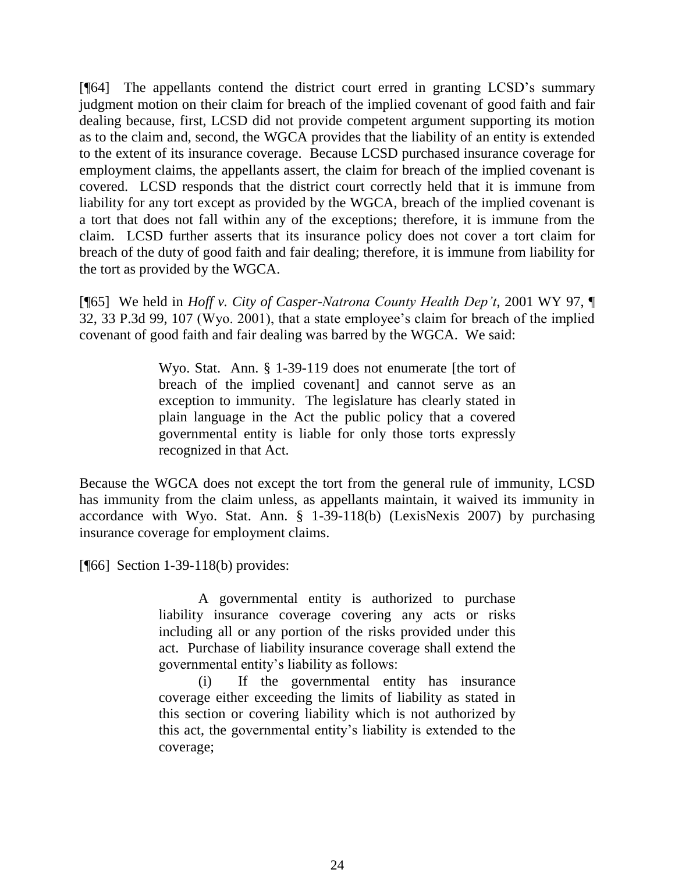[¶64] The appellants contend the district court erred in granting LCSD's summary judgment motion on their claim for breach of the implied covenant of good faith and fair dealing because, first, LCSD did not provide competent argument supporting its motion as to the claim and, second, the WGCA provides that the liability of an entity is extended to the extent of its insurance coverage. Because LCSD purchased insurance coverage for employment claims, the appellants assert, the claim for breach of the implied covenant is covered. LCSD responds that the district court correctly held that it is immune from liability for any tort except as provided by the WGCA, breach of the implied covenant is a tort that does not fall within any of the exceptions; therefore, it is immune from the claim. LCSD further asserts that its insurance policy does not cover a tort claim for breach of the duty of good faith and fair dealing; therefore, it is immune from liability for the tort as provided by the WGCA.

[¶65] We held in *Hoff v. City of Casper-Natrona County Health Dep't*, 2001 WY 97, ¶ 32, 33 P.3d 99, 107 (Wyo. 2001), that a state employee's claim for breach of the implied covenant of good faith and fair dealing was barred by the WGCA. We said:

> Wyo. Stat. Ann. § 1-39-119 does not enumerate [the tort of breach of the implied covenant] and cannot serve as an exception to immunity. The legislature has clearly stated in plain language in the Act the public policy that a covered governmental entity is liable for only those torts expressly recognized in that Act.

Because the WGCA does not except the tort from the general rule of immunity, LCSD has immunity from the claim unless, as appellants maintain, it waived its immunity in accordance with Wyo. Stat. Ann. § 1-39-118(b) (LexisNexis 2007) by purchasing insurance coverage for employment claims.

[**[66]** Section 1-39-118(b) provides:

A governmental entity is authorized to purchase liability insurance coverage covering any acts or risks including all or any portion of the risks provided under this act. Purchase of liability insurance coverage shall extend the governmental entity's liability as follows:

(i) If the governmental entity has insurance coverage either exceeding the limits of liability as stated in this section or covering liability which is not authorized by this act, the governmental entity's liability is extended to the coverage;